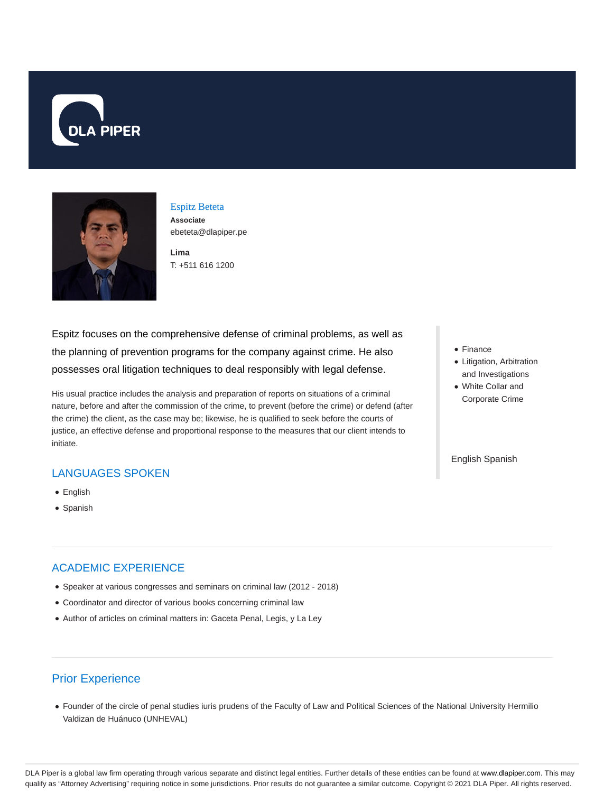



Espitz Beteta **Associate** ebeteta@dlapiper.pe

**Lima** T: +511 616 1200

Espitz focuses on the comprehensive defense of criminal problems, as well as the planning of prevention programs for the company against crime. He also possesses oral litigation techniques to deal responsibly with legal defense.

His usual practice includes the analysis and preparation of reports on situations of a criminal nature, before and after the commission of the crime, to prevent (before the crime) or defend (after the crime) the client, as the case may be; likewise, he is qualified to seek before the courts of justice, an effective defense and proportional response to the measures that our client intends to initiate.

### LANGUAGES SPOKEN

- English
- Spanish

## ACADEMIC EXPERIENCE

- Speaker at various congresses and seminars on criminal law (2012 2018)
- Coordinator and director of various books concerning criminal law
- Author of articles on criminal matters in: Gaceta Penal, Legis, y La Ley

# Prior Experience

Founder of the circle of penal studies iuris prudens of the Faculty of Law and Political Sciences of the National University Hermilio Valdizan de Huánuco (UNHEVAL)

- Finance
- Litigation, Arbitration and Investigations
- White Collar and Corporate Crime

English Spanish

DLA Piper is a global law firm operating through various separate and distinct legal entities. Further details of these entities can be found at www.dlapiper.com. This may qualify as "Attorney Advertising" requiring notice in some jurisdictions. Prior results do not guarantee a similar outcome. Copyright @ 2021 DLA Piper. All rights reserved.